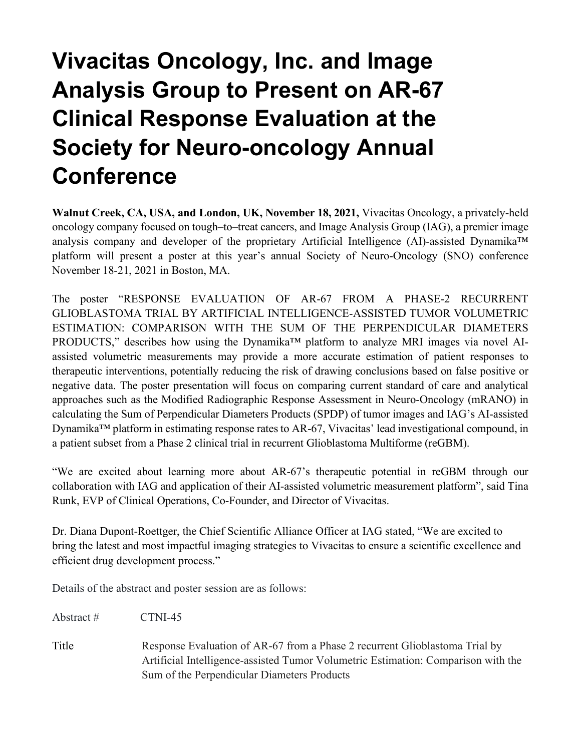## **Vivacitas Oncology, Inc. and Image Analysis Group to Present on AR-67 Clinical Response Evaluation at the Society for Neuro-oncology Annual Conference**

**Walnut Creek, CA, USA, and London, UK, November 18, 2021,** Vivacitas Oncology, a privately-held oncology company focused on tough–to–treat cancers, and Image Analysis Group (IAG), a premier image analysis company and developer of the proprietary Artificial Intelligence (AI)-assisted Dynamika™ platform will present a poster at this year's annual Society of Neuro-Oncology (SNO) conference November 18-21, 2021 in Boston, MA.

The poster "RESPONSE EVALUATION OF AR-67 FROM A PHASE-2 RECURRENT GLIOBLASTOMA TRIAL BY ARTIFICIAL INTELLIGENCE-ASSISTED TUMOR VOLUMETRIC ESTIMATION: COMPARISON WITH THE SUM OF THE PERPENDICULAR DIAMETERS PRODUCTS," describes how using the Dynamika™ platform to analyze MRI images via novel AIassisted volumetric measurements may provide a more accurate estimation of patient responses to therapeutic interventions, potentially reducing the risk of drawing conclusions based on false positive or negative data. The poster presentation will focus on comparing current standard of care and analytical approaches such as the Modified Radiographic Response Assessment in Neuro-Oncology (mRANO) in calculating the Sum of Perpendicular Diameters Products (SPDP) of tumor images and IAG's AI-assisted Dynamika™ platform in estimating response rates to AR-67, Vivacitas' lead investigational compound, in a patient subset from a Phase 2 clinical trial in recurrent Glioblastoma Multiforme (reGBM).

"We are excited about learning more about AR-67's therapeutic potential in reGBM through our collaboration with IAG and application of their AI-assisted volumetric measurement platform", said Tina Runk, EVP of Clinical Operations, Co-Founder, and Director of Vivacitas.

Dr. Diana Dupont-Roettger, the Chief Scientific Alliance Officer at IAG stated, "We are excited to bring the latest and most impactful imaging strategies to Vivacitas to ensure a scientific excellence and efficient drug development process."

Details of the abstract and poster session are as follows:

Abstract # CTNI-45

Title Response Evaluation of AR-67 from a Phase 2 recurrent Glioblastoma Trial by Artificial Intelligence-assisted Tumor Volumetric Estimation: Comparison with the Sum of the Perpendicular Diameters Products